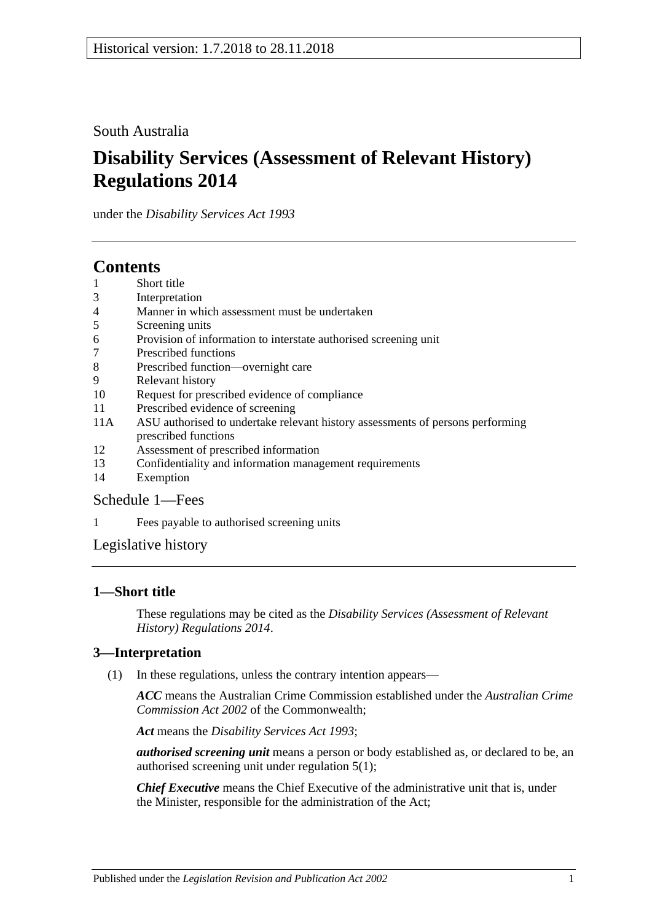## South Australia

# **Disability Services (Assessment of Relevant History) Regulations 2014**

under the *Disability Services Act 1993*

# **Contents**

- 1 [Short title](#page-0-0)
- 3 [Interpretation](#page-0-1)
- 4 [Manner in which assessment must be undertaken](#page-1-0)
- 5 [Screening units](#page-1-1)
- 6 [Provision of information to interstate authorised screening unit](#page-1-2)
- 7 [Prescribed functions](#page-1-3)
- 8 [Prescribed function—overnight care](#page-2-0)
- 9 [Relevant history](#page-2-1)
- 10 [Request for prescribed evidence of compliance](#page-3-0)
- 11 [Prescribed evidence of screening](#page-3-1)
- 11A [ASU authorised to undertake relevant history assessments of persons performing](#page-3-2)  [prescribed functions](#page-3-2)
- 12 [Assessment of prescribed information](#page-3-3)
- 13 [Confidentiality and information management requirements](#page-4-0)
- 14 [Exemption](#page-4-1)

### [Schedule](#page-5-0) 1—Fees

1 [Fees payable to authorised screening units](#page-5-1)

[Legislative history](#page-6-0)

### <span id="page-0-0"></span>**1—Short title**

These regulations may be cited as the *Disability Services (Assessment of Relevant History) Regulations 2014*.

### <span id="page-0-1"></span>**3—Interpretation**

(1) In these regulations, unless the contrary intention appears—

*ACC* means the Australian Crime Commission established under the *Australian Crime Commission Act 2002* of the Commonwealth;

*Act* means the *[Disability Services Act](http://www.legislation.sa.gov.au/index.aspx?action=legref&type=act&legtitle=Disability%20Services%20Act%201993) 1993*;

*authorised screening unit* means a person or body established as, or declared to be, an authorised screening unit under [regulation](#page-1-4) 5(1);

*Chief Executive* means the Chief Executive of the administrative unit that is, under the Minister, responsible for the administration of the Act;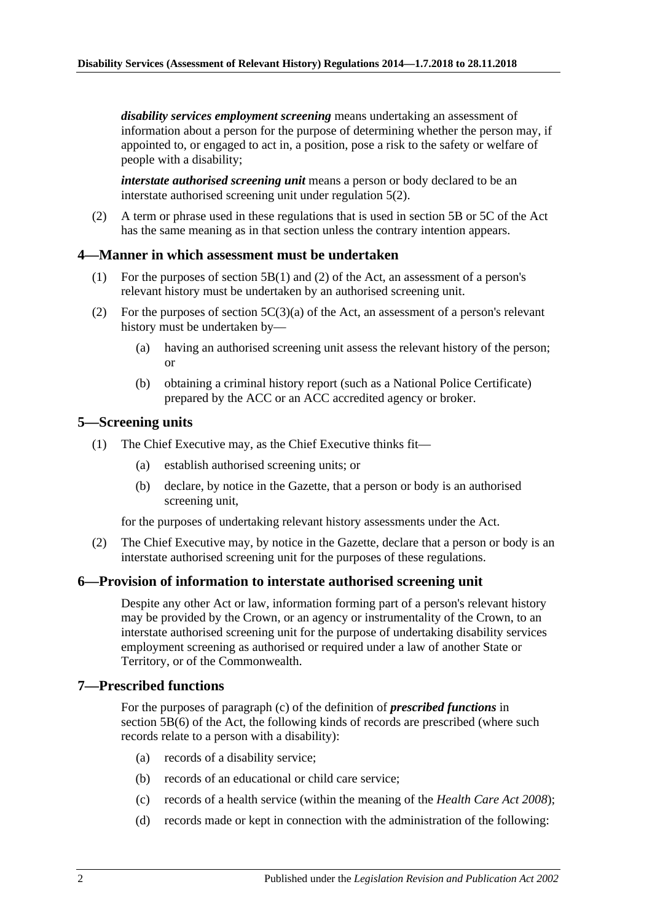*disability services employment screening* means undertaking an assessment of information about a person for the purpose of determining whether the person may, if appointed to, or engaged to act in, a position, pose a risk to the safety or welfare of people with a disability;

*interstate authorised screening unit* means a person or body declared to be an interstate authorised screening unit under [regulation](#page-1-5) 5(2).

(2) A term or phrase used in these regulations that is used in section 5B or 5C of the Act has the same meaning as in that section unless the contrary intention appears.

#### <span id="page-1-0"></span>**4—Manner in which assessment must be undertaken**

- (1) For the purposes of section 5B(1) and (2) of the Act, an assessment of a person's relevant history must be undertaken by an authorised screening unit.
- (2) For the purposes of section  $5C(3)(a)$  of the Act, an assessment of a person's relevant history must be undertaken by—
	- (a) having an authorised screening unit assess the relevant history of the person; or
	- (b) obtaining a criminal history report (such as a National Police Certificate) prepared by the ACC or an ACC accredited agency or broker.

#### <span id="page-1-4"></span><span id="page-1-1"></span>**5—Screening units**

- (1) The Chief Executive may, as the Chief Executive thinks fit—
	- (a) establish authorised screening units; or
	- (b) declare, by notice in the Gazette, that a person or body is an authorised screening unit,

for the purposes of undertaking relevant history assessments under the Act.

<span id="page-1-5"></span>(2) The Chief Executive may, by notice in the Gazette, declare that a person or body is an interstate authorised screening unit for the purposes of these regulations.

#### <span id="page-1-2"></span>**6—Provision of information to interstate authorised screening unit**

Despite any other Act or law, information forming part of a person's relevant history may be provided by the Crown, or an agency or instrumentality of the Crown, to an interstate authorised screening unit for the purpose of undertaking disability services employment screening as authorised or required under a law of another State or Territory, or of the Commonwealth.

#### <span id="page-1-3"></span>**7—Prescribed functions**

For the purposes of paragraph (c) of the definition of *prescribed functions* in section 5B(6) of the Act, the following kinds of records are prescribed (where such records relate to a person with a disability):

- (a) records of a disability service;
- (b) records of an educational or child care service;
- (c) records of a health service (within the meaning of the *[Health Care Act](http://www.legislation.sa.gov.au/index.aspx?action=legref&type=act&legtitle=Health%20Care%20Act%202008) 2008*);
- (d) records made or kept in connection with the administration of the following: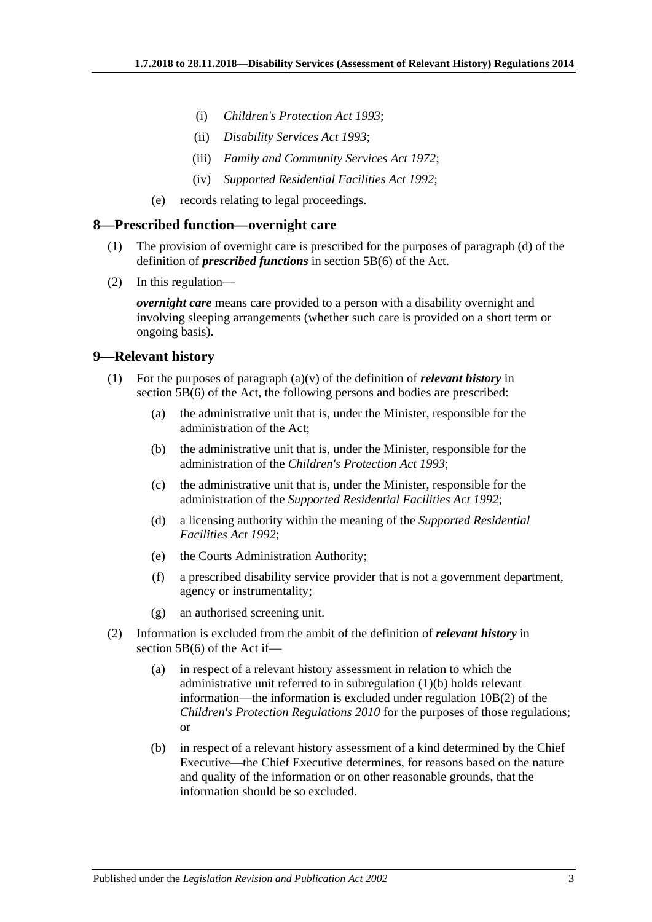- (i) *[Children's Protection Act](http://www.legislation.sa.gov.au/index.aspx?action=legref&type=act&legtitle=Childrens%20Protection%20Act%201993) 1993*;
- (ii) *[Disability Services Act](http://www.legislation.sa.gov.au/index.aspx?action=legref&type=act&legtitle=Disability%20Services%20Act%201993) 1993*;
- (iii) *[Family and Community Services Act](http://www.legislation.sa.gov.au/index.aspx?action=legref&type=act&legtitle=Family%20and%20Community%20Services%20Act%201972) 1972*;
- (iv) *[Supported Residential Facilities Act](http://www.legislation.sa.gov.au/index.aspx?action=legref&type=act&legtitle=Supported%20Residential%20Facilities%20Act%201992) 1992*;
- (e) records relating to legal proceedings.

#### <span id="page-2-0"></span>**8—Prescribed function—overnight care**

- (1) The provision of overnight care is prescribed for the purposes of paragraph (d) of the definition of *prescribed functions* in section 5B(6) of the Act.
- (2) In this regulation—

*overnight care* means care provided to a person with a disability overnight and involving sleeping arrangements (whether such care is provided on a short term or ongoing basis).

#### <span id="page-2-1"></span>**9—Relevant history**

- <span id="page-2-2"></span>(1) For the purposes of paragraph (a)(v) of the definition of *relevant history* in section 5B(6) of the Act, the following persons and bodies are prescribed:
	- (a) the administrative unit that is, under the Minister, responsible for the administration of the Act;
	- (b) the administrative unit that is, under the Minister, responsible for the administration of the *[Children's Protection Act](http://www.legislation.sa.gov.au/index.aspx?action=legref&type=act&legtitle=Childrens%20Protection%20Act%201993) 1993*;
	- (c) the administrative unit that is, under the Minister, responsible for the administration of the *[Supported Residential Facilities Act](http://www.legislation.sa.gov.au/index.aspx?action=legref&type=act&legtitle=Supported%20Residential%20Facilities%20Act%201992) 1992*;
	- (d) a licensing authority within the meaning of the *[Supported Residential](http://www.legislation.sa.gov.au/index.aspx?action=legref&type=act&legtitle=Supported%20Residential%20Facilities%20Act%201992)  [Facilities Act](http://www.legislation.sa.gov.au/index.aspx?action=legref&type=act&legtitle=Supported%20Residential%20Facilities%20Act%201992) 1992*;
	- (e) the Courts Administration Authority;
	- (f) a prescribed disability service provider that is not a government department, agency or instrumentality;
	- (g) an authorised screening unit.
- (2) Information is excluded from the ambit of the definition of *relevant history* in section 5B(6) of the Act if—
	- (a) in respect of a relevant history assessment in relation to which the administrative unit referred to in [subregulation](#page-2-2) (1)(b) holds relevant information—the information is excluded under regulation 10B(2) of the *[Children's Protection Regulations](http://www.legislation.sa.gov.au/index.aspx?action=legref&type=subordleg&legtitle=Childrens%20Protection%20Regulations%202010) 2010* for the purposes of those regulations; or
	- (b) in respect of a relevant history assessment of a kind determined by the Chief Executive—the Chief Executive determines, for reasons based on the nature and quality of the information or on other reasonable grounds, that the information should be so excluded.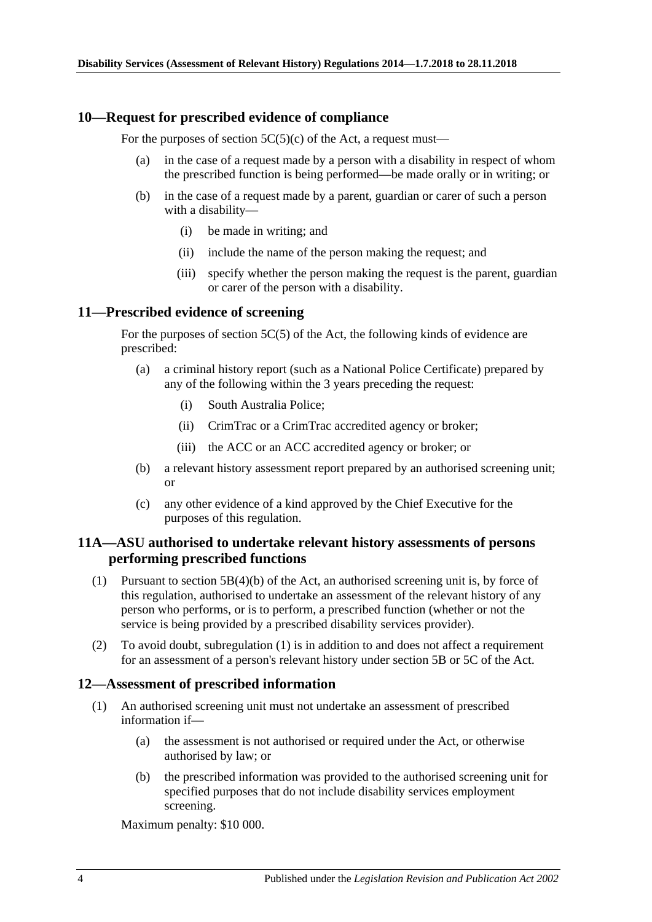#### <span id="page-3-0"></span>**10—Request for prescribed evidence of compliance**

For the purposes of section  $5C(5)(c)$  of the Act, a request must—

- (a) in the case of a request made by a person with a disability in respect of whom the prescribed function is being performed—be made orally or in writing; or
- (b) in the case of a request made by a parent, guardian or carer of such a person with a disability—
	- (i) be made in writing; and
	- (ii) include the name of the person making the request; and
	- (iii) specify whether the person making the request is the parent, guardian or carer of the person with a disability.

#### <span id="page-3-1"></span>**11—Prescribed evidence of screening**

For the purposes of section 5C(5) of the Act, the following kinds of evidence are prescribed:

- (a) a criminal history report (such as a National Police Certificate) prepared by any of the following within the 3 years preceding the request:
	- (i) South Australia Police;
	- (ii) CrimTrac or a CrimTrac accredited agency or broker;
	- (iii) the ACC or an ACC accredited agency or broker; or
- (b) a relevant history assessment report prepared by an authorised screening unit; or
- (c) any other evidence of a kind approved by the Chief Executive for the purposes of this regulation.

#### <span id="page-3-2"></span>**11A—ASU authorised to undertake relevant history assessments of persons performing prescribed functions**

- <span id="page-3-4"></span>(1) Pursuant to section 5B(4)(b) of the Act, an authorised screening unit is, by force of this regulation, authorised to undertake an assessment of the relevant history of any person who performs, or is to perform, a prescribed function (whether or not the service is being provided by a prescribed disability services provider).
- (2) To avoid doubt, [subregulation](#page-3-4) (1) is in addition to and does not affect a requirement for an assessment of a person's relevant history under section 5B or 5C of the Act.

#### <span id="page-3-3"></span>**12—Assessment of prescribed information**

- (1) An authorised screening unit must not undertake an assessment of prescribed information if—
	- (a) the assessment is not authorised or required under the Act, or otherwise authorised by law; or
	- (b) the prescribed information was provided to the authorised screening unit for specified purposes that do not include disability services employment screening.

Maximum penalty: \$10 000.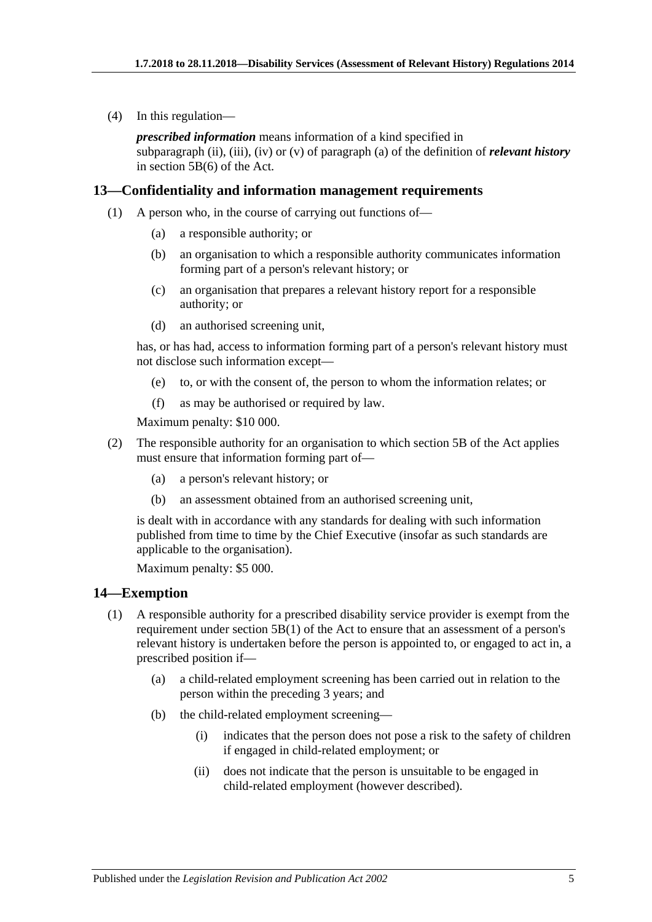(4) In this regulation—

*prescribed information* means information of a kind specified in subparagraph (ii), (iii), (iv) or (v) of paragraph (a) of the definition of *relevant history* in section 5B(6) of the Act.

#### <span id="page-4-0"></span>**13—Confidentiality and information management requirements**

- (1) A person who, in the course of carrying out functions of—
	- (a) a responsible authority; or
	- (b) an organisation to which a responsible authority communicates information forming part of a person's relevant history; or
	- (c) an organisation that prepares a relevant history report for a responsible authority; or
	- (d) an authorised screening unit,

has, or has had, access to information forming part of a person's relevant history must not disclose such information except—

- (e) to, or with the consent of, the person to whom the information relates; or
- (f) as may be authorised or required by law.

Maximum penalty: \$10 000.

- (2) The responsible authority for an organisation to which section 5B of the Act applies must ensure that information forming part of—
	- (a) a person's relevant history; or
	- (b) an assessment obtained from an authorised screening unit,

is dealt with in accordance with any standards for dealing with such information published from time to time by the Chief Executive (insofar as such standards are applicable to the organisation).

Maximum penalty: \$5 000.

#### <span id="page-4-1"></span>**14—Exemption**

- (1) A responsible authority for a prescribed disability service provider is exempt from the requirement under section 5B(1) of the Act to ensure that an assessment of a person's relevant history is undertaken before the person is appointed to, or engaged to act in, a prescribed position if—
	- (a) a child-related employment screening has been carried out in relation to the person within the preceding 3 years; and
	- (b) the child-related employment screening—
		- (i) indicates that the person does not pose a risk to the safety of children if engaged in child-related employment; or
		- (ii) does not indicate that the person is unsuitable to be engaged in child-related employment (however described).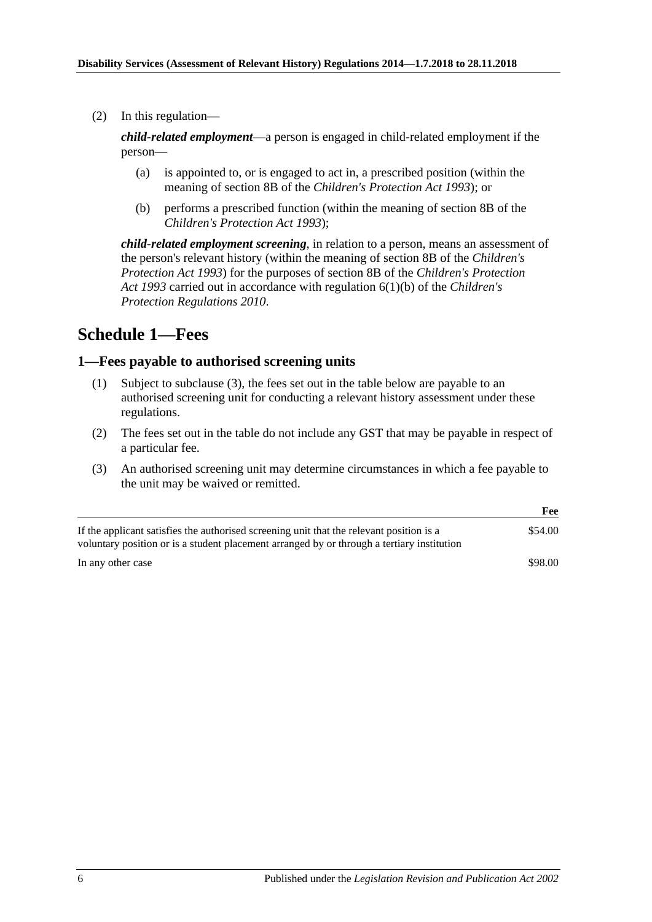(2) In this regulation—

*child-related employment*—a person is engaged in child-related employment if the person—

- (a) is appointed to, or is engaged to act in, a prescribed position (within the meaning of section 8B of the *[Children's Protection Act](http://www.legislation.sa.gov.au/index.aspx?action=legref&type=act&legtitle=Childrens%20Protection%20Act%201993) 1993*); or
- (b) performs a prescribed function (within the meaning of section 8B of the *[Children's Protection Act](http://www.legislation.sa.gov.au/index.aspx?action=legref&type=act&legtitle=Childrens%20Protection%20Act%201993) 1993*);

*child-related employment screening*, in relation to a person, means an assessment of the person's relevant history (within the meaning of section 8B of the *[Children's](http://www.legislation.sa.gov.au/index.aspx?action=legref&type=act&legtitle=Childrens%20Protection%20Act%201993)  [Protection Act](http://www.legislation.sa.gov.au/index.aspx?action=legref&type=act&legtitle=Childrens%20Protection%20Act%201993) 1993*) for the purposes of section 8B of the *[Children's Protection](http://www.legislation.sa.gov.au/index.aspx?action=legref&type=act&legtitle=Childrens%20Protection%20Act%201993)  Act [1993](http://www.legislation.sa.gov.au/index.aspx?action=legref&type=act&legtitle=Childrens%20Protection%20Act%201993)* carried out in accordance with regulation 6(1)(b) of the *[Children's](http://www.legislation.sa.gov.au/index.aspx?action=legref&type=subordleg&legtitle=Childrens%20Protection%20Regulations%202010)  [Protection Regulations](http://www.legislation.sa.gov.au/index.aspx?action=legref&type=subordleg&legtitle=Childrens%20Protection%20Regulations%202010) 2010*.

# <span id="page-5-0"></span>**Schedule 1—Fees**

#### <span id="page-5-1"></span>**1—Fees payable to authorised screening units**

- (1) Subject to [subclause](#page-5-2) (3), the fees set out in the table below are payable to an authorised screening unit for conducting a relevant history assessment under these regulations.
- (2) The fees set out in the table do not include any GST that may be payable in respect of a particular fee.
- <span id="page-5-2"></span>(3) An authorised screening unit may determine circumstances in which a fee payable to the unit may be waived or remitted.

|                                                                                                                                                                                        | Fee     |
|----------------------------------------------------------------------------------------------------------------------------------------------------------------------------------------|---------|
| If the applicant satisfies the authorised screening unit that the relevant position is a<br>voluntary position or is a student placement arranged by or through a tertiary institution | \$54.00 |
| In any other case                                                                                                                                                                      | \$98.00 |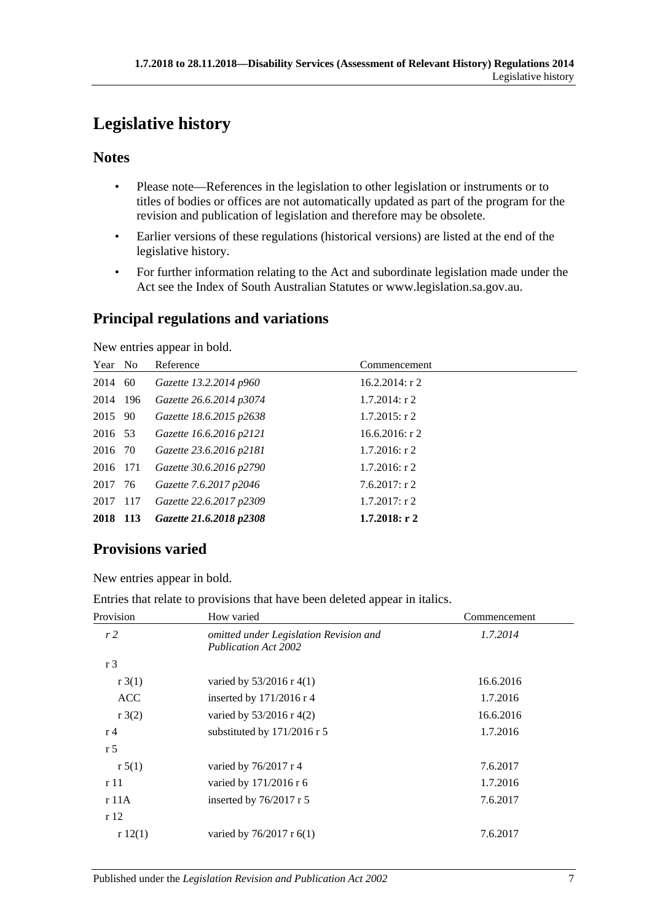# <span id="page-6-0"></span>**Legislative history**

# **Notes**

- Please note—References in the legislation to other legislation or instruments or to titles of bodies or offices are not automatically updated as part of the program for the revision and publication of legislation and therefore may be obsolete.
- Earlier versions of these regulations (historical versions) are listed at the end of the legislative history.
- For further information relating to the Act and subordinate legislation made under the Act see the Index of South Australian Statutes or www.legislation.sa.gov.au.

# **Principal regulations and variations**

New entries appear in bold.

| Year No  | Reference               | Commencement      |
|----------|-------------------------|-------------------|
| 2014 60  | Gazette 13.2.2014 p960  | $16.2.2014$ : r 2 |
| 2014 196 | Gazette 26.6.2014 p3074 | $1.7.2014$ : r 2  |
| 2015 90  | Gazette 18.6.2015 p2638 | $1.7.2015$ : r 2  |
| 2016 53  | Gazette 16.6.2016 p2121 | $16.6.2016$ : r 2 |
| 2016 70  | Gazette 23.6.2016 p2181 | $1.7.2016$ : r 2  |
| 2016 171 | Gazette 30.6.2016 p2790 | $1.7.2016$ : r 2  |
| 2017 76  | Gazette 7.6.2017 p2046  | $7.6.2017$ : r 2  |
| 2017 117 | Gazette 22.6.2017 p2309 | $1.7.2017$ : r 2  |
| 2018 113 | Gazette 21.6.2018 p2308 | $1.7.2018:$ r 2   |

# **Provisions varied**

New entries appear in bold.

|  | Entries that relate to provisions that have been deleted appear in italics. |  |  |  |
|--|-----------------------------------------------------------------------------|--|--|--|
|  |                                                                             |  |  |  |
|  |                                                                             |  |  |  |
|  |                                                                             |  |  |  |

| Provision      | How varied                                                            | Commencement |
|----------------|-----------------------------------------------------------------------|--------------|
| r2             | omitted under Legislation Revision and<br><b>Publication Act 2002</b> | 1.7.2014     |
| r <sub>3</sub> |                                                                       |              |
| r3(1)          | varied by $53/2016$ r 4(1)                                            | 16.6.2016    |
| <b>ACC</b>     | inserted by $171/2016$ r 4                                            | 1.7.2016     |
| r3(2)          | varied by $53/2016$ r 4(2)                                            | 16.6.2016    |
| r <sub>4</sub> | substituted by 171/2016 r 5                                           | 1.7.2016     |
| r <sub>5</sub> |                                                                       |              |
| r 5(1)         | varied by $76/2017$ r 4                                               | 7.6.2017     |
| r11            | varied by 171/2016 r 6                                                | 1.7.2016     |
| r 11A          | inserted by $76/2017$ r 5                                             | 7.6.2017     |
| r 12           |                                                                       |              |
| r12(1)         | varied by $76/2017$ r $6(1)$                                          | 7.6.2017     |
|                |                                                                       |              |